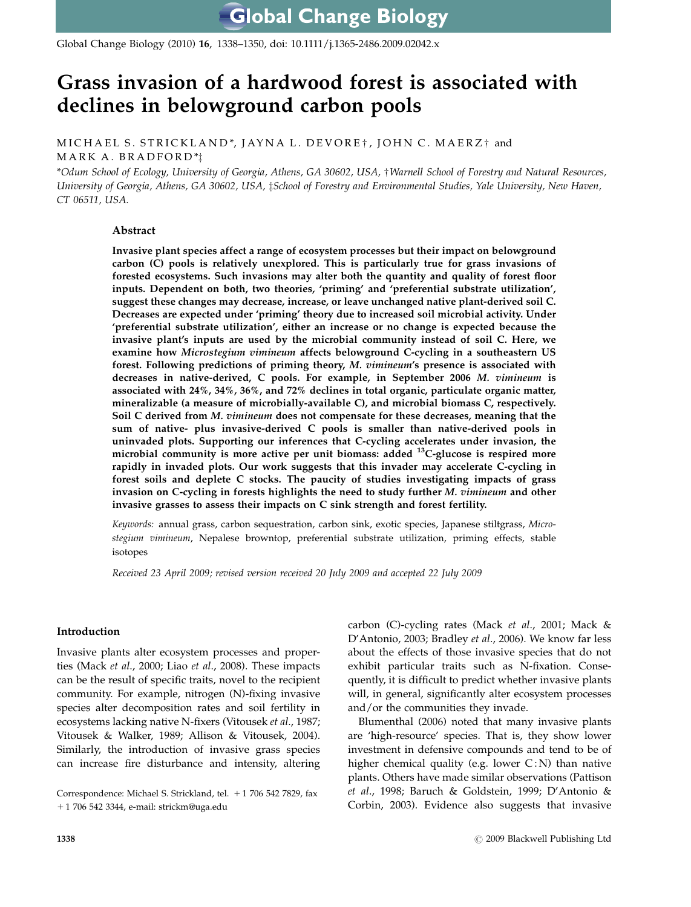**Global Change Biology** 

Global Change Biology (2010) 16, 1338–1350, doi: 10.1111/j.1365-2486.2009.02042.x

# Grass invasion of a hardwood forest is associated with declines in belowground carbon pools

MICHAEL S. STRICKLAND\*, JAYNA L. DEVORE†, JOHN C. MAERZ† and MARK A. BRADFORD \*z

\*Odum School of Ecology, University of Georgia, Athens, GA 30602, USA, †Warnell School of Forestry and Natural Resources, University of Georgia, Athens, GA 30602, USA, *‡School of Forestry and Environmental Studies*, Yale University, New Haven, CT 06511, USA.

# Abstract

Invasive plant species affect a range of ecosystem processes but their impact on belowground carbon (C) pools is relatively unexplored. This is particularly true for grass invasions of forested ecosystems. Such invasions may alter both the quantity and quality of forest floor inputs. Dependent on both, two theories, 'priming' and 'preferential substrate utilization', suggest these changes may decrease, increase, or leave unchanged native plant-derived soil C. Decreases are expected under 'priming' theory due to increased soil microbial activity. Under 'preferential substrate utilization', either an increase or no change is expected because the invasive plant's inputs are used by the microbial community instead of soil C. Here, we examine how Microstegium vimineum affects belowground C-cycling in a southeastern US forest. Following predictions of priming theory, M. vimineum's presence is associated with decreases in native-derived, C pools. For example, in September 2006 M. vimineum is associated with 24%, 34%, 36%, and 72% declines in total organic, particulate organic matter, mineralizable (a measure of microbially-available C), and microbial biomass C, respectively. Soil C derived from M. vimineum does not compensate for these decreases, meaning that the sum of native- plus invasive-derived C pools is smaller than native-derived pools in uninvaded plots. Supporting our inferences that C-cycling accelerates under invasion, the microbial community is more active per unit biomass: added  $^{13}$ C-glucose is respired more rapidly in invaded plots. Our work suggests that this invader may accelerate C-cycling in forest soils and deplete C stocks. The paucity of studies investigating impacts of grass invasion on C-cycling in forests highlights the need to study further M. vimineum and other invasive grasses to assess their impacts on C sink strength and forest fertility.

Keywords: annual grass, carbon sequestration, carbon sink, exotic species, Japanese stiltgrass, Microstegium vimineum, Nepalese browntop, preferential substrate utilization, priming effects, stable isotopes

Received 23 April 2009; revised version received 20 July 2009 and accepted 22 July 2009

### Introduction

Invasive plants alter ecosystem processes and properties (Mack et al., 2000; Liao et al., 2008). These impacts can be the result of specific traits, novel to the recipient community. For example, nitrogen (N)-fixing invasive species alter decomposition rates and soil fertility in ecosystems lacking native N-fixers (Vitousek et al., 1987; Vitousek & Walker, 1989; Allison & Vitousek, 2004). Similarly, the introduction of invasive grass species can increase fire disturbance and intensity, altering

Correspondence: Michael S. Strickland, tel. + 1 706 542 7829, fax 1 1 706 542 3344, e-mail: [strickm@uga.edu](mailto:strickm@uga.edu)

carbon (C)-cycling rates (Mack et al., 2001; Mack & D'Antonio, 2003; Bradley et al., 2006). We know far less about the effects of those invasive species that do not exhibit particular traits such as N-fixation. Consequently, it is difficult to predict whether invasive plants will, in general, significantly alter ecosystem processes and/or the communities they invade.

Blumenthal (2006) noted that many invasive plants are 'high-resource' species. That is, they show lower investment in defensive compounds and tend to be of higher chemical quality (e.g. lower  $C: N$ ) than native plants. Others have made similar observations (Pattison et al., 1998; Baruch & Goldstein, 1999; D'Antonio & Corbin, 2003). Evidence also suggests that invasive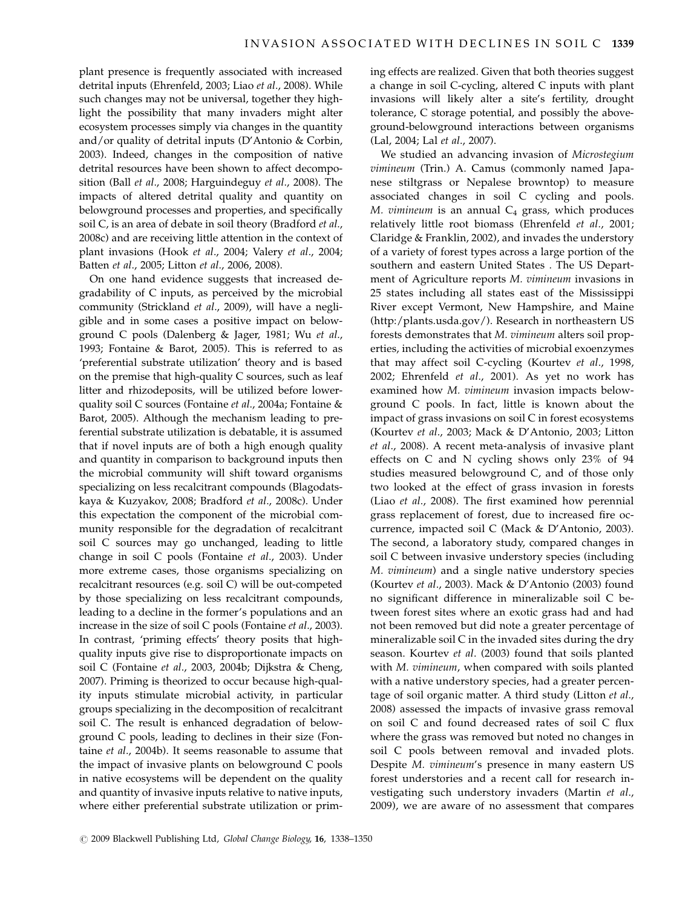plant presence is frequently associated with increased detrital inputs (Ehrenfeld, 2003; Liao et al., 2008). While such changes may not be universal, together they highlight the possibility that many invaders might alter ecosystem processes simply via changes in the quantity and/or quality of detrital inputs (D'Antonio & Corbin, 2003). Indeed, changes in the composition of native detrital resources have been shown to affect decomposition (Ball et al., 2008; Harguindeguy et al., 2008). The impacts of altered detrital quality and quantity on belowground processes and properties, and specifically soil C, is an area of debate in soil theory (Bradford et al., 2008c) and are receiving little attention in the context of plant invasions (Hook et al., 2004; Valery et al., 2004; Batten et al., 2005; Litton et al., 2006, 2008).

On one hand evidence suggests that increased degradability of C inputs, as perceived by the microbial community (Strickland et al., 2009), will have a negligible and in some cases a positive impact on belowground C pools (Dalenberg & Jager, 1981; Wu et al., 1993; Fontaine & Barot, 2005). This is referred to as 'preferential substrate utilization' theory and is based on the premise that high-quality C sources, such as leaf litter and rhizodeposits, will be utilized before lowerquality soil C sources (Fontaine et al., 2004a; Fontaine & Barot, 2005). Although the mechanism leading to preferential substrate utilization is debatable, it is assumed that if novel inputs are of both a high enough quality and quantity in comparison to background inputs then the microbial community will shift toward organisms specializing on less recalcitrant compounds (Blagodatskaya & Kuzyakov, 2008; Bradford et al., 2008c). Under this expectation the component of the microbial community responsible for the degradation of recalcitrant soil C sources may go unchanged, leading to little change in soil C pools (Fontaine et al., 2003). Under more extreme cases, those organisms specializing on recalcitrant resources (e.g. soil C) will be out-competed by those specializing on less recalcitrant compounds, leading to a decline in the former's populations and an increase in the size of soil C pools (Fontaine et al., 2003). In contrast, 'priming effects' theory posits that highquality inputs give rise to disproportionate impacts on soil C (Fontaine et al., 2003, 2004b; Dijkstra & Cheng, 2007). Priming is theorized to occur because high-quality inputs stimulate microbial activity, in particular groups specializing in the decomposition of recalcitrant soil C. The result is enhanced degradation of belowground C pools, leading to declines in their size (Fontaine et al., 2004b). It seems reasonable to assume that the impact of invasive plants on belowground C pools in native ecosystems will be dependent on the quality and quantity of invasive inputs relative to native inputs, where either preferential substrate utilization or priming effects are realized. Given that both theories suggest a change in soil C-cycling, altered C inputs with plant invasions will likely alter a site's fertility, drought tolerance, C storage potential, and possibly the aboveground-belowground interactions between organisms (Lal, 2004; Lal et al., 2007).

We studied an advancing invasion of Microstegium vimineum (Trin.) A. Camus (commonly named Japanese stiltgrass or Nepalese browntop) to measure associated changes in soil C cycling and pools. M. vimineum is an annual  $C_4$  grass, which produces relatively little root biomass (Ehrenfeld et al., 2001; Claridge & Franklin, 2002), and invades the understory of a variety of forest types across a large portion of the southern and eastern United States . The US Department of Agriculture reports M. vimineum invasions in 25 states including all states east of the Mississippi River except Vermont, New Hampshire, and Maine [\(http:/plants.usda.gov/\). Research in northeastern US](http:/plants.usda.gov/) [forests demonstrates that](http:/plants.usda.gov/) M. vimineum alters soil prop[erties, including the activities of microbial exoenzymes](http:/plants.usda.gov/) [that may affect soil C-cycling \(Kourtev](http:/plants.usda.gov/) et al., 1998, 2002; Ehrenfeld et al[., 2001\). As yet no work has](http:/plants.usda.gov/) examined how M. vimineum [invasion impacts below](http:/plants.usda.gov/)[ground C pools. In fact, little is known about the](http:/plants.usda.gov/) [impact of grass invasions on soil C in forest ecosystems](http:/plants.usda.gov/) (Kourtev et al[., 2003; Mack & D'Antonio, 2003; Litton](http:/plants.usda.gov/) et al[., 2008\). A recent meta-analysis of invasive plant](http:/plants.usda.gov/) [effects on C and N cycling shows only 23% of 94](http:/plants.usda.gov/) [studies measured belowground C, and of those only](http:/plants.usda.gov/) [two looked at the effect of grass invasion in forests](http:/plants.usda.gov/) (Liao et al[., 2008\). The first examined how perennial](http:/plants.usda.gov/) [grass replacement of forest, due to increased fire oc](http:/plants.usda.gov/)[currence, impacted soil C \(Mack & D'Antonio, 2003\).](http:/plants.usda.gov/) [The second, a laboratory study, compared changes in](http:/plants.usda.gov/) [soil C between invasive understory species \(including](http:/plants.usda.gov/) M. vimineum[\) and a single native understory species](http:/plants.usda.gov/) (Kourtev et al[., 2003\). Mack & D'Antonio \(2003\) found](http:/plants.usda.gov/) [no significant difference in mineralizable soil C be](http:/plants.usda.gov/)[tween forest sites where an exotic grass had and had](http:/plants.usda.gov/) [not been removed but did note a greater percentage of](http:/plants.usda.gov/) [mineralizable soil C in the invaded sites during the dry](http:/plants.usda.gov/) season. Kourtev et al[. \(2003\) found that soils planted](http:/plants.usda.gov/) with M. vimineum[, when compared with soils planted](http:/plants.usda.gov/) [with a native understory species, had a greater percen](http:/plants.usda.gov/)[tage of soil organic matter. A third study \(Litton](http:/plants.usda.gov/) et al., [2008\) assessed the impacts of invasive grass removal](http:/plants.usda.gov/) [on soil C and found decreased rates of soil C flux](http:/plants.usda.gov/) [where the grass was removed but noted no changes in](http:/plants.usda.gov/) [soil C pools between removal and invaded plots.](http:/plants.usda.gov/) Despite M. vimineum['s presence in many eastern US](http:/plants.usda.gov/) [forest understories and a recent call for research in](http:/plants.usda.gov/)[vestigating such understory invaders \(Martin](http:/plants.usda.gov/) et al., [2009\), we are aware of no assessment that compares](http:/plants.usda.gov/)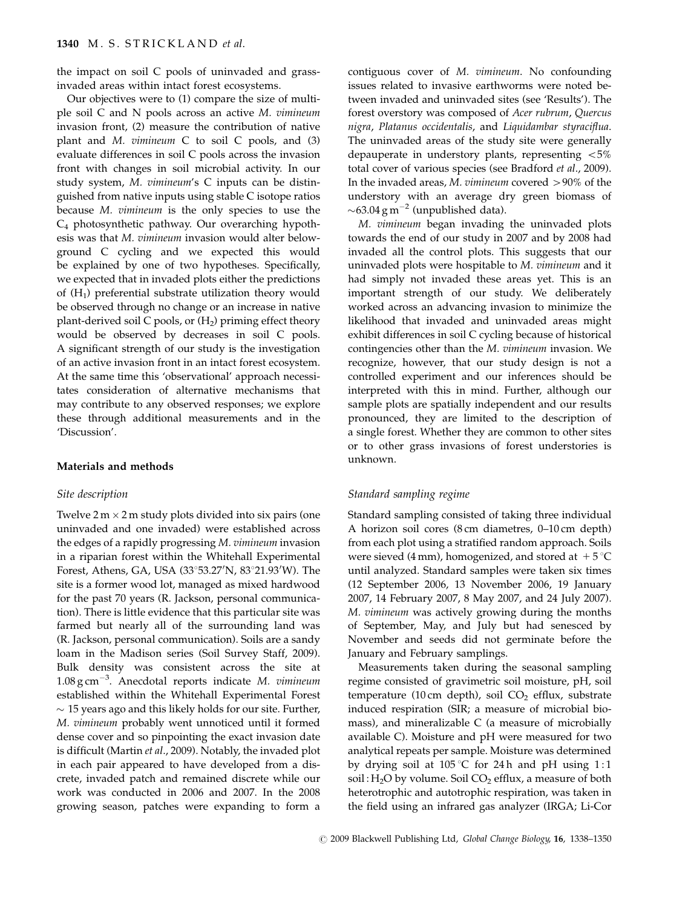[the impact on soil C pools of uninvaded and grass](http:/plants.usda.gov/)[invaded areas within intact forest ecosystems.](http:/plants.usda.gov/)

Our objectives were to (1) compare the size of multiple soil C and N pools across an active M. vimineum invasion front, (2) measure the contribution of native plant and M. vimineum C to soil C pools, and (3) evaluate differences in soil C pools across the invasion front with changes in soil microbial activity. In our study system, M. vimineum's C inputs can be distinguished from native inputs using stable C isotope ratios because M. vimineum is the only species to use the  $C_4$  photosynthetic pathway. Our overarching hypothesis was that M. vimineum invasion would alter belowground C cycling and we expected this would be explained by one of two hypotheses. Specifically, we expected that in invaded plots either the predictions of  $(H_1)$  preferential substrate utilization theory would be observed through no change or an increase in native plant-derived soil C pools, or  $(H<sub>2</sub>)$  priming effect theory would be observed by decreases in soil C pools. A significant strength of our study is the investigation of an active invasion front in an intact forest ecosystem. At the same time this 'observational' approach necessitates consideration of alternative mechanisms that may contribute to any observed responses; we explore these through additional measurements and in the 'Discussion'.

# Materials and methods

### Site description

Twelve 2 m  $\times$  2 m study plots divided into six pairs (one uninvaded and one invaded) were established across the edges of a rapidly progressing M. vimineum invasion in a riparian forest within the Whitehall Experimental Forest, Athens, GA, USA (33°53.27'N, 83°21.93'W). The site is a former wood lot, managed as mixed hardwood for the past 70 years (R. Jackson, personal communication). There is little evidence that this particular site was farmed but nearly all of the surrounding land was (R. Jackson, personal communication). Soils are a sandy loam in the Madison series (Soil Survey Staff, 2009). Bulk density was consistent across the site at 1.08  $g$  cm<sup>-3</sup>. Anecdotal reports indicate M. vimineum established within the Whitehall Experimental Forest  $\sim$  15 years ago and this likely holds for our site. Further, M. vimineum probably went unnoticed until it formed dense cover and so pinpointing the exact invasion date is difficult (Martin et al., 2009). Notably, the invaded plot in each pair appeared to have developed from a discrete, invaded patch and remained discrete while our work was conducted in 2006 and 2007. In the 2008 growing season, patches were expanding to form a

contiguous cover of M. vimineum. No confounding issues related to invasive earthworms were noted between invaded and uninvaded sites (see 'Results'). The forest overstory was composed of Acer rubrum, Quercus nigra, Platanus occidentalis, and Liquidambar styraciflua. The uninvaded areas of the study site were generally depauperate in understory plants, representing  $<5\%$ total cover of various species (see Bradford et al., 2009). In the invaded areas, M. vimineum covered  $>90\%$  of the understory with an average dry green biomass of  $\sim$  63.04 g m<sup>-2</sup> (unpublished data).

M. vimineum began invading the uninvaded plots towards the end of our study in 2007 and by 2008 had invaded all the control plots. This suggests that our uninvaded plots were hospitable to M. vimineum and it had simply not invaded these areas yet. This is an important strength of our study. We deliberately worked across an advancing invasion to minimize the likelihood that invaded and uninvaded areas might exhibit differences in soil C cycling because of historical contingencies other than the M. vimineum invasion. We recognize, however, that our study design is not a controlled experiment and our inferences should be interpreted with this in mind. Further, although our sample plots are spatially independent and our results pronounced, they are limited to the description of a single forest. Whether they are common to other sites or to other grass invasions of forest understories is unknown.

# Standard sampling regime

Standard sampling consisted of taking three individual A horizon soil cores (8 cm diametres, 0–10 cm depth) from each plot using a stratified random approach. Soils were sieved (4 mm), homogenized, and stored at  $+5^{\circ}$ C until analyzed. Standard samples were taken six times (12 September 2006, 13 November 2006, 19 January 2007, 14 February 2007, 8 May 2007, and 24 July 2007). M. vimineum was actively growing during the months of September, May, and July but had senesced by November and seeds did not germinate before the January and February samplings.

Measurements taken during the seasonal sampling regime consisted of gravimetric soil moisture, pH, soil temperature (10 cm depth), soil  $CO<sub>2</sub>$  efflux, substrate induced respiration (SIR; a measure of microbial biomass), and mineralizable C (a measure of microbially available C). Moisture and pH were measured for two analytical repeats per sample. Moisture was determined by drying soil at  $105^{\circ}$ C for 24 h and pH using 1:1 soil : H<sub>2</sub>O by volume. Soil  $CO<sub>2</sub>$  efflux, a measure of both heterotrophic and autotrophic respiration, was taken in the field using an infrared gas analyzer (IRGA; Li-Cor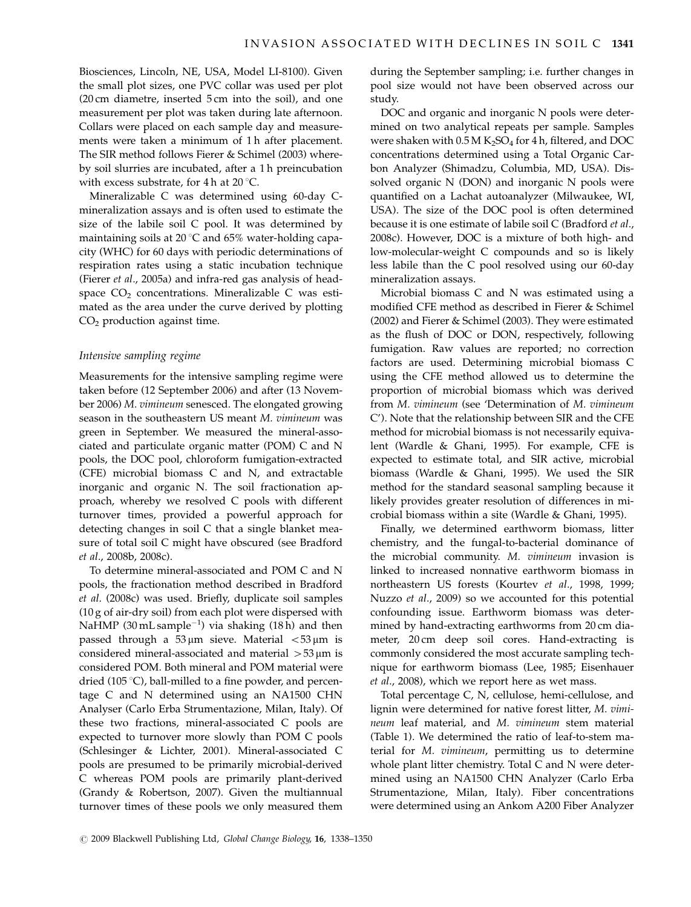Biosciences, Lincoln, NE, USA, Model LI-8100). Given the small plot sizes, one PVC collar was used per plot (20 cm diametre, inserted 5 cm into the soil), and one measurement per plot was taken during late afternoon. Collars were placed on each sample day and measurements were taken a minimum of 1 h after placement. The SIR method follows Fierer & Schimel (2003) whereby soil slurries are incubated, after a 1 h preincubation with excess substrate, for 4 h at 20  $^{\circ}$ C.

Mineralizable C was determined using 60-day Cmineralization assays and is often used to estimate the size of the labile soil C pool. It was determined by maintaining soils at 20 $\degree$ C and 65% water-holding capacity (WHC) for 60 days with periodic determinations of respiration rates using a static incubation technique (Fierer et al., 2005a) and infra-red gas analysis of headspace  $CO<sub>2</sub>$  concentrations. Mineralizable C was estimated as the area under the curve derived by plotting  $CO<sub>2</sub>$  production against time.

### Intensive sampling regime

Measurements for the intensive sampling regime were taken before (12 September 2006) and after (13 November 2006) M. vimineum senesced. The elongated growing season in the southeastern US meant M. vimineum was green in September. We measured the mineral-associated and particulate organic matter (POM) C and N pools, the DOC pool, chloroform fumigation-extracted (CFE) microbial biomass C and N, and extractable inorganic and organic N. The soil fractionation approach, whereby we resolved C pools with different turnover times, provided a powerful approach for detecting changes in soil C that a single blanket measure of total soil C might have obscured (see Bradford et al., 2008b, 2008c).

To determine mineral-associated and POM C and N pools, the fractionation method described in Bradford et al. (2008c) was used. Briefly, duplicate soil samples (10 g of air-dry soil) from each plot were dispersed with NaHMP (30 mL sample $^{-1}$ ) via shaking (18 h) and then passed through a  $53 \mu m$  sieve. Material  $\lt 53 \mu m$  is considered mineral-associated and material  $>53 \text{ nm}$  is considered POM. Both mineral and POM material were dried (105 $^{\circ}$ C), ball-milled to a fine powder, and percentage C and N determined using an NA1500 CHN Analyser (Carlo Erba Strumentazione, Milan, Italy). Of these two fractions, mineral-associated C pools are expected to turnover more slowly than POM C pools (Schlesinger & Lichter, 2001). Mineral-associated C pools are presumed to be primarily microbial-derived C whereas POM pools are primarily plant-derived (Grandy & Robertson, 2007). Given the multiannual turnover times of these pools we only measured them

during the September sampling; i.e. further changes in pool size would not have been observed across our study.

DOC and organic and inorganic N pools were determined on two analytical repeats per sample. Samples were shaken with  $0.5 M K<sub>2</sub>SO<sub>4</sub>$  for 4 h, filtered, and DOC concentrations determined using a Total Organic Carbon Analyzer (Shimadzu, Columbia, MD, USA). Dissolved organic N (DON) and inorganic N pools were quantified on a Lachat autoanalyzer (Milwaukee, WI, USA). The size of the DOC pool is often determined because it is one estimate of labile soil C (Bradford et al., 2008c). However, DOC is a mixture of both high- and low-molecular-weight C compounds and so is likely less labile than the C pool resolved using our 60-day mineralization assays.

Microbial biomass C and N was estimated using a modified CFE method as described in Fierer & Schimel (2002) and Fierer & Schimel (2003). They were estimated as the flush of DOC or DON, respectively, following fumigation. Raw values are reported; no correction factors are used. Determining microbial biomass C using the CFE method allowed us to determine the proportion of microbial biomass which was derived from M. vimineum (see 'Determination of M. vimineum C'). Note that the relationship between SIR and the CFE method for microbial biomass is not necessarily equivalent (Wardle & Ghani, 1995). For example, CFE is expected to estimate total, and SIR active, microbial biomass (Wardle & Ghani, 1995). We used the SIR method for the standard seasonal sampling because it likely provides greater resolution of differences in microbial biomass within a site (Wardle & Ghani, 1995).

Finally, we determined earthworm biomass, litter chemistry, and the fungal-to-bacterial dominance of the microbial community. M. vimineum invasion is linked to increased nonnative earthworm biomass in northeastern US forests (Kourtev et al., 1998, 1999; Nuzzo et al., 2009) so we accounted for this potential confounding issue. Earthworm biomass was determined by hand-extracting earthworms from 20 cm diameter, 20 cm deep soil cores. Hand-extracting is commonly considered the most accurate sampling technique for earthworm biomass (Lee, 1985; Eisenhauer et al., 2008), which we report here as wet mass.

Total percentage C, N, cellulose, hemi-cellulose, and lignin were determined for native forest litter, M. vimineum leaf material, and M. vimineum stem material (Table 1). We determined the ratio of leaf-to-stem material for M. vimineum, permitting us to determine whole plant litter chemistry. Total C and N were determined using an NA1500 CHN Analyzer (Carlo Erba Strumentazione, Milan, Italy). Fiber concentrations were determined using an Ankom A200 Fiber Analyzer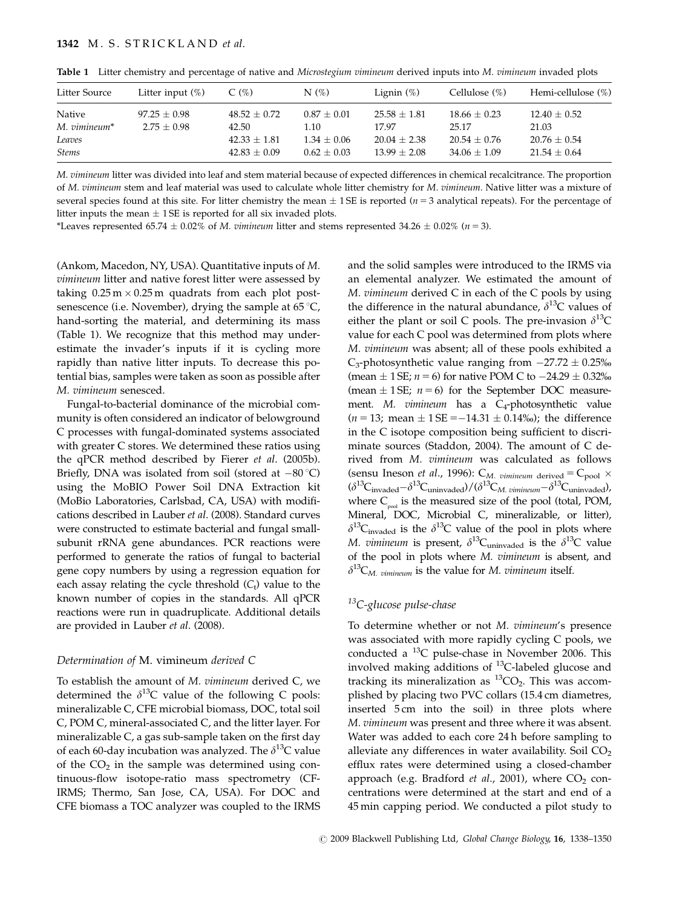| Litter Source    | Litter input $(\%)$ | $C(\%)$          | $N(\%)$         | Lignin $(\%)$    | Cellulose $(\%)$ | Hemi-cellulose $(\%)$ |
|------------------|---------------------|------------------|-----------------|------------------|------------------|-----------------------|
| Native           | $97.25 \pm 0.98$    | $48.52 \pm 0.72$ | $0.87 + 0.01$   | $25.58 \pm 1.81$ | $18.66 \pm 0.23$ | $12.40 \pm 0.52$      |
| $M.$ $vimineum*$ | $2.75 \pm 0.98$     | 42.50            | 1.10            | 17.97            | 25.17            | 21.03                 |
| Leaves           |                     | $42.33 \pm 1.81$ | $1.34 \pm 0.06$ | $20.04 \pm 2.38$ | $20.54 \pm 0.76$ | $20.76 \pm 0.54$      |
| <b>Stems</b>     |                     | $42.83 \pm 0.09$ | $0.62 \pm 0.03$ | $13.99 + 2.08$   | $34.06 \pm 1.09$ | $21.54 \pm 0.64$      |

Table 1 Litter chemistry and percentage of native and Microstegium vimineum derived inputs into M. vimineum invaded plots

M. vimineum litter was divided into leaf and stem material because of expected differences in chemical recalcitrance. The proportion of M. vimineum stem and leaf material was used to calculate whole litter chemistry for M. vimineum. Native litter was a mixture of several species found at this site. For litter chemistry the mean  $\pm$  1SE is reported ( $n = 3$  analytical repeats). For the percentage of litter inputs the mean  $\pm$  1 SE is reported for all six invaded plots.

\*Leaves represented 65.74  $\pm$  0.02% of M. vimineum litter and stems represented 34.26  $\pm$  0.02% (n = 3).

(Ankom, Macedon, NY, USA). Quantitative inputs of M. vimineum litter and native forest litter were assessed by taking  $0.25\,\mathrm{m}$   $\times$   $0.25\,\mathrm{m}$  quadrats from each plot postsenescence (i.e. November), drying the sample at  $65^{\circ}C$ , hand-sorting the material, and determining its mass (Table 1). We recognize that this method may underestimate the invader's inputs if it is cycling more rapidly than native litter inputs. To decrease this potential bias, samples were taken as soon as possible after M. vimineum senesced.

Fungal-to-bacterial dominance of the microbial community is often considered an indicator of belowground C processes with fungal-dominated systems associated with greater C stores. We determined these ratios using the qPCR method described by Fierer et al. (2005b). Briefly, DNA was isolated from soil (stored at  $-80^{\circ}$ C) using the MoBIO Power Soil DNA Extraction kit (MoBio Laboratories, Carlsbad, CA, USA) with modifications described in Lauber et al. (2008). Standard curves were constructed to estimate bacterial and fungal smallsubunit rRNA gene abundances. PCR reactions were performed to generate the ratios of fungal to bacterial gene copy numbers by using a regression equation for each assay relating the cycle threshold  $(C_t)$  value to the known number of copies in the standards. All qPCR reactions were run in quadruplicate. Additional details are provided in Lauber et al. (2008).

### Determination of M. vimineum derived C

To establish the amount of M. vimineum derived C, we determined the  $\delta^{13}$ C value of the following C pools: mineralizable C, CFE microbial biomass, DOC, total soil C, POM C, mineral-associated C, and the litter layer. For mineralizable C, a gas sub-sample taken on the first day of each 60-day incubation was analyzed. The  $\delta^{13}$ C value of the  $CO<sub>2</sub>$  in the sample was determined using continuous-flow isotope-ratio mass spectrometry (CF-IRMS; Thermo, San Jose, CA, USA). For DOC and CFE biomass a TOC analyzer was coupled to the IRMS

and the solid samples were introduced to the IRMS via an elemental analyzer. We estimated the amount of M. vimineum derived C in each of the C pools by using the difference in the natural abundance,  $\delta^{13}$ C values of either the plant or soil C pools. The pre-invasion  $\delta^{13}$ C value for each C pool was determined from plots where M. vimineum was absent; all of these pools exhibited a C<sub>3</sub>-photosynthetic value ranging from  $-27.72 \pm 0.25\%$ (mean  $\pm$  1 SE; *n* = 6) for native POM C to  $-24.29 \pm 0.32\%$ (mean  $\pm$  1 SE;  $n = 6$ ) for the September DOC measurement. M. *vimineum* has a  $C_4$ -photosynthetic value  $(n = 13;$  mean  $\pm 1$  SE = -14.31  $\pm$  0.14‰); the difference in the C isotope composition being sufficient to discriminate sources (Staddon, 2004). The amount of C derived from M. vimineum was calculated as follows (sensu Ineson *et al.*, 1996):  $C_{M.}$  *vimineum* derived  $=C_{\text{pool}} \times$  $(\delta^{13}\text{C}_{\text{invaded}} - \delta^{13}\text{C}_{\text{uninvaded}})/(\delta^{13}\text{C}_{\text{M. }v_{\text{iminuum}}} - \delta^{13}\text{C}_{\text{uninvaded}})$ , where  $C_{\text{pool}}$  is the measured size of the pool (total, POM, Mineral, DOC, Microbial C, mineralizable, or litter),  $\delta^{13}$ C<sub>invaded</sub> is the  $\delta^{13}$ C value of the pool in plots where M. vimineum is present,  $\delta^{13}C_{\text{uninvaded}}$  is the  $\delta^{13}C$  value of the pool in plots where M. vimineum is absent, and  $\delta^{13}C_M$  vimineum is the value for M. vimineum itself.

# <sup>13</sup>C-glucose pulse-chase

To determine whether or not M. vimineum's presence was associated with more rapidly cycling C pools, we conducted a  $^{13}$ C pulse-chase in November 2006. This involved making additions of  $^{13}$ C-labeled glucose and tracking its mineralization as  ${}^{13}CO_2$ . This was accomplished by placing two PVC collars (15.4 cm diametres, inserted 5 cm into the soil) in three plots where M. vimineum was present and three where it was absent. Water was added to each core 24 h before sampling to alleviate any differences in water availability. Soil  $CO<sub>2</sub>$ efflux rates were determined using a closed-chamber approach (e.g. Bradford et al., 2001), where  $CO<sub>2</sub>$  concentrations were determined at the start and end of a 45 min capping period. We conducted a pilot study to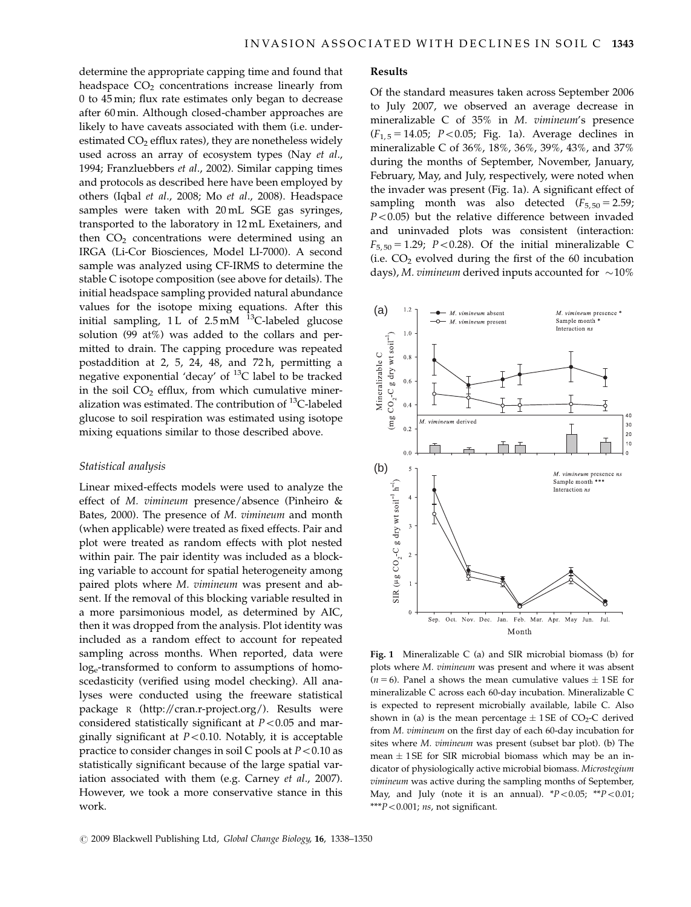determine the appropriate capping time and found that headspace  $CO<sub>2</sub>$  concentrations increase linearly from 0 to 45 min; flux rate estimates only began to decrease after 60 min. Although closed-chamber approaches are likely to have caveats associated with them (i.e. underestimated  $CO<sub>2</sub>$  efflux rates), they are nonetheless widely used across an array of ecosystem types (Nay et al., 1994; Franzluebbers et al., 2002). Similar capping times and protocols as described here have been employed by others (Iqbal et al., 2008; Mo et al., 2008). Headspace samples were taken with 20 mL SGE gas syringes, transported to the laboratory in 12 mL Exetainers, and then  $CO<sub>2</sub>$  concentrations were determined using an IRGA (Li-Cor Biosciences, Model LI-7000). A second sample was analyzed using CF-IRMS to determine the stable C isotope composition (see above for details). The initial headspace sampling provided natural abundance values for the isotope mixing equations. After this initial sampling,  $1 \text{ L}$  of  $2.5 \text{ mM}$   $^{12}$ C-labeled glucose solution (99 at%) was added to the collars and permitted to drain. The capping procedure was repeated postaddition at 2, 5, 24, 48, and 72 h, permitting a negative exponential 'decay' of  $^{13}C$  label to be tracked in the soil  $CO<sub>2</sub>$  efflux, from which cumulative mineralization was estimated. The contribution of 13C-labeled glucose to soil respiration was estimated using isotope mixing equations similar to those described above.

### Statistical analysis

Linear mixed-effects models were used to analyze the effect of M. vimineum presence/absence (Pinheiro  $\&$ Bates, 2000). The presence of M. vimineum and month (when applicable) were treated as fixed effects. Pair and plot were treated as random effects with plot nested within pair. The pair identity was included as a blocking variable to account for spatial heterogeneity among paired plots where M. vimineum was present and absent. If the removal of this blocking variable resulted in a more parsimonious model, as determined by AIC, then it was dropped from the analysis. Plot identity was included as a random effect to account for repeated sampling across months. When reported, data were loge-transformed to conform to assumptions of homoscedasticity (verified using model checking). All analyses were conducted using the freeware statistical package R [\(http://cran.r-project.org/\). Results were](http://cran.r-project.org/) [considered statistically significant at](http://cran.r-project.org/)  $P < 0.05$  and marginally significant at  $P < 0.10$ . Notably, it is acceptable [practice to consider changes in soil C pools at](http://cran.r-project.org/)  $P < 0.10$  as [statistically significant because of the large spatial var](http://cran.r-project.org/)[iation associated with them \(e.g. Carney](http://cran.r-project.org/) et al., 2007). [However, we took a more conservative stance in this](http://cran.r-project.org/) [work.](http://cran.r-project.org/)

### Results

Of the standard measures taken across September 2006 to July 2007, we observed an average decrease in mineralizable C of 35% in M. vimineum's presence  $(F_{1,5} = 14.05; P < 0.05; Fig. 1a)$ . Average declines in mineralizable C of 36%, 18%, 36%, 39%, 43%, and 37% during the months of September, November, January, February, May, and July, respectively, were noted when the invader was present (Fig. 1a). A significant effect of sampling month was also detected  $(F_{5,50} = 2.59)$ ;  $P<0.05$ ) but the relative difference between invaded and uninvaded plots was consistent (interaction:  $F_{5,50} = 1.29$ ; P<0.28). Of the initial mineralizable C (i.e.  $CO<sub>2</sub>$  evolved during the first of the 60 incubation days), M. vimineum derived inputs accounted for  $\sim$  10%



Fig. 1 Mineralizable C (a) and SIR microbial biomass (b) for plots where M. vimineum was present and where it was absent ( $n = 6$ ). Panel a shows the mean cumulative values  $\pm 1$  SE for mineralizable C across each 60-day incubation. Mineralizable C is expected to represent microbially available, labile C. Also shown in (a) is the mean percentage  $\pm$  1 SE of CO<sub>2</sub>-C derived from M. vimineum on the first day of each 60-day incubation for sites where M. vimineum was present (subset bar plot). (b) The mean  $\pm$  1 SE for SIR microbial biomass which may be an indicator of physiologically active microbial biomass. Microstegium vimineum was active during the sampling months of September, May, and July (note it is an annual).  $*P<0.05$ ;  $*P<0.01$ ; \*\*\* $P < 0.001$ ; ns, not significant.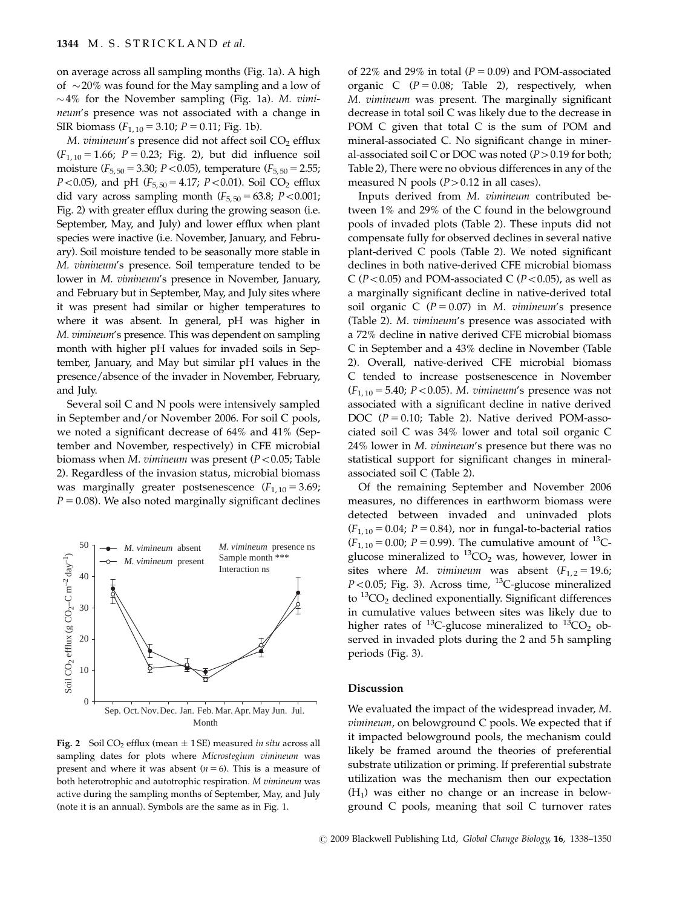on average across all sampling months (Fig. 1a). A high of  $\sim$ 20% was found for the May sampling and a low of  $\sim$  4% for the November sampling (Fig. 1a). M. vimineum's presence was not associated with a change in SIR biomass ( $F_{1,10} = 3.10$ ;  $P = 0.11$ ; Fig. 1b).

M. vimineum's presence did not affect soil  $CO<sub>2</sub>$  efflux  $(F_{1, 10} = 1.66; P = 0.23; Fig. 2)$ , but did influence soil moisture ( $F_{5,50}$  = 3.30; P < 0.05), temperature ( $F_{5,50}$  = 2.55;  $P<0.05$ ), and pH ( $F_{5,50} = 4.17$ ;  $P<0.01$ ). Soil CO<sub>2</sub> efflux did vary across sampling month  $(F_{5,50} = 63.8; P < 0.001;$ Fig. 2) with greater efflux during the growing season (i.e. September, May, and July) and lower efflux when plant species were inactive (i.e. November, January, and February). Soil moisture tended to be seasonally more stable in M. vimineum's presence. Soil temperature tended to be lower in M. vimineum's presence in November, January, and February but in September, May, and July sites where it was present had similar or higher temperatures to where it was absent. In general, pH was higher in M. vimineum's presence. This was dependent on sampling month with higher pH values for invaded soils in September, January, and May but similar pH values in the presence/absence of the invader in November, February, and July.

Several soil C and N pools were intensively sampled in September and/or November 2006. For soil C pools, we noted a significant decrease of 64% and 41% (September and November, respectively) in CFE microbial biomass when M. vimineum was present  $(P<0.05$ ; Table 2). Regardless of the invasion status, microbial biomass was marginally greater postsenescence  $(F_{1, 10} = 3.69)$ ;  $P = 0.08$ ). We also noted marginally significant declines



Fig. 2 Soil CO<sub>2</sub> efflux (mean  $\pm$  1 SE) measured *in situ* across all sampling dates for plots where Microstegium vimineum was present and where it was absent  $(n = 6)$ . This is a measure of both heterotrophic and autotrophic respiration. M vimineum was active during the sampling months of September, May, and July (note it is an annual). Symbols are the same as in Fig. 1.

of 22% and 29% in total ( $P = 0.09$ ) and POM-associated organic C  $(P = 0.08;$  Table 2), respectively, when M. vimineum was present. The marginally significant decrease in total soil C was likely due to the decrease in POM C given that total C is the sum of POM and mineral-associated C. No significant change in mineral-associated soil C or DOC was noted ( $P > 0.19$  for both; Table 2), There were no obvious differences in any of the measured N pools  $(P>0.12$  in all cases).

Inputs derived from M. vimineum contributed between 1% and 29% of the C found in the belowground pools of invaded plots (Table 2). These inputs did not compensate fully for observed declines in several native plant-derived C pools (Table 2). We noted significant declines in both native-derived CFE microbial biomass C ( $P < 0.05$ ) and POM-associated C ( $P < 0.05$ ), as well as a marginally significant decline in native-derived total soil organic C ( $P = 0.07$ ) in M. vimineum's presence (Table 2). M. vimineum's presence was associated with a 72% decline in native derived CFE microbial biomass C in September and a 43% decline in November (Table 2). Overall, native-derived CFE microbial biomass C tended to increase postsenescence in November  $(F_{1, 10} = 5.40; P < 0.05)$ . M. vimineum's presence was not associated with a significant decline in native derived DOC ( $P = 0.10$ ; Table 2). Native derived POM-associated soil C was 34% lower and total soil organic C 24% lower in M. vimineum's presence but there was no statistical support for significant changes in mineralassociated soil C (Table 2).

Of the remaining September and November 2006 measures, no differences in earthworm biomass were detected between invaded and uninvaded plots  $(F_{1, 10} = 0.04; P = 0.84)$ , nor in fungal-to-bacterial ratios  $(F_{1, 10} = 0.00; P = 0.99)$ . The cumulative amount of <sup>13</sup>Cglucose mineralized to  ${}^{13}CO_2$  was, however, lower in sites where M. vimineum was absent  $(F_1, T_2 = 19.6;$  $P < 0.05$ ; Fig. 3). Across time, <sup>13</sup>C-glucose mineralized to  ${}^{13}CO_2$  declined exponentially. Significant differences in cumulative values between sites was likely due to higher rates of  $^{13}$ C-glucose mineralized to  $^{13}$ CO<sub>2</sub> observed in invaded plots during the 2 and 5 h sampling periods (Fig. 3).

### Discussion

We evaluated the impact of the widespread invader, M. vimineum, on belowground C pools. We expected that if it impacted belowground pools, the mechanism could likely be framed around the theories of preferential substrate utilization or priming. If preferential substrate utilization was the mechanism then our expectation  $(H<sub>1</sub>)$  was either no change or an increase in belowground C pools, meaning that soil C turnover rates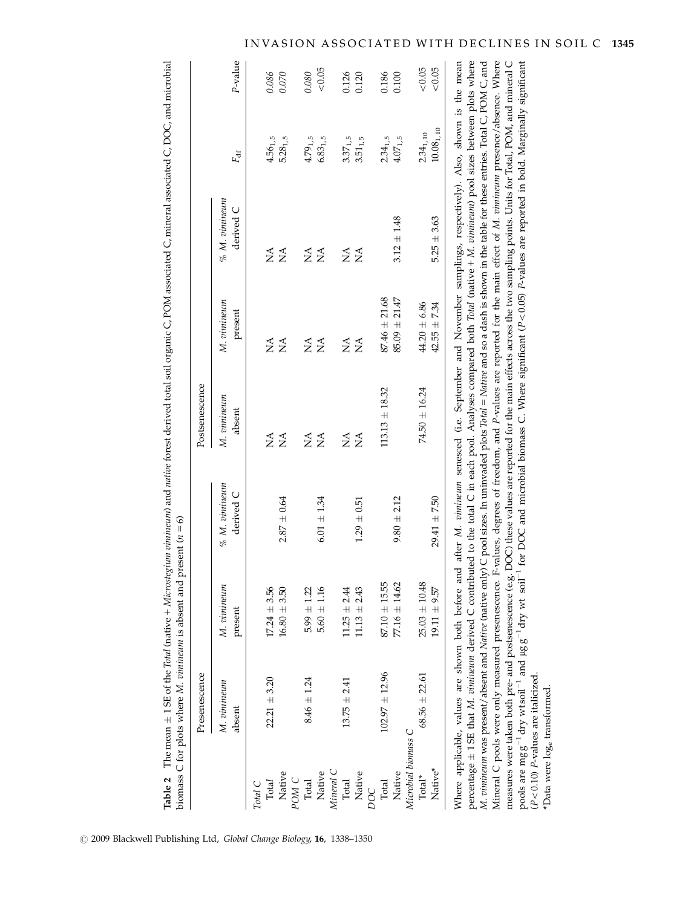Microstegium vimineum) and native forest derived total soil organic C, POM associated C, mineral associated C, DOC, and microbial  $^+$  $\pm$  1 SE of the Total (native  $^+$ Table 2 The mean Table 2

| l<br>l                                                         |   |  |
|----------------------------------------------------------------|---|--|
|                                                                |   |  |
|                                                                |   |  |
|                                                                |   |  |
|                                                                |   |  |
|                                                                |   |  |
|                                                                |   |  |
|                                                                |   |  |
|                                                                |   |  |
|                                                                |   |  |
|                                                                |   |  |
|                                                                |   |  |
|                                                                |   |  |
|                                                                |   |  |
|                                                                |   |  |
|                                                                |   |  |
|                                                                |   |  |
|                                                                |   |  |
|                                                                |   |  |
|                                                                |   |  |
|                                                                |   |  |
|                                                                |   |  |
|                                                                |   |  |
|                                                                |   |  |
|                                                                |   |  |
| í                                                              |   |  |
| l<br>֖֖֖֖֖֧֖֧֧֧֖֧֚֚֚֚֚֚֚֚֚֚֚֚֚֚֚֚֚֚֚֚֚֚֚֚֚֚֚֚֚֚֚֚֚֚֬֝֝֓֞֝֬֝֬֝֬ |   |  |
|                                                                |   |  |
|                                                                |   |  |
|                                                                |   |  |
| i<br>ļ                                                         |   |  |
|                                                                | į |  |
|                                                                |   |  |
| ı<br>:                                                         |   |  |
| ֠<br>l                                                         |   |  |

|                     | Presenescence         |                        |                                 | Postsenescence                           |                           |                                                                                                                                                                                                                                                                                                                                               |                |              |
|---------------------|-----------------------|------------------------|---------------------------------|------------------------------------------|---------------------------|-----------------------------------------------------------------------------------------------------------------------------------------------------------------------------------------------------------------------------------------------------------------------------------------------------------------------------------------------|----------------|--------------|
|                     | M. vimineum<br>absent | M. vinineum<br>present | $% M.$ $vinninnum$<br>derived C | M. vinineum<br>absent                    | M. vimineum<br>present    | $% M.$ $vinninnum$<br>derived C                                                                                                                                                                                                                                                                                                               | $F_{\rm df}$   | P-value      |
| Total C             |                       |                        |                                 |                                          |                           |                                                                                                                                                                                                                                                                                                                                               |                |              |
| Total               | $22.21 + 3.20$        | $17.24 \pm 3.56$       |                                 | $\stackrel{\triangle}{\scriptstyle\sim}$ | $\mathbb{A}^{\mathbb{A}}$ | $\mathbb{A}$                                                                                                                                                                                                                                                                                                                                  | $4.56_{1,5}$   | 0.086        |
| Native              |                       | $16.80 + 3.50$         | $2.87 \pm 0.64$                 | ŃΝ                                       | Ş                         | Ş                                                                                                                                                                                                                                                                                                                                             | $5.28_{1,5}$   | 0.070        |
| POM <sub>C</sub>    |                       |                        |                                 |                                          |                           |                                                                                                                                                                                                                                                                                                                                               |                |              |
| Total               | $8.46 \pm 1.24$       | $5.99 \pm 1.22$        |                                 | $\mathop{\mathsf{X}}\nolimits$           | $\mathbb{A}^{\mathsf{A}}$ | $\mathbb{A}^{\mathsf{A}}$                                                                                                                                                                                                                                                                                                                     | $4.79_{1.5}$   | 0.080        |
| Native              |                       | $5.60 \pm 1.16$        | $6.01 \pm 1.34$                 | ΝA                                       | ΝA                        | $\sum_{i=1}^{n}$                                                                                                                                                                                                                                                                                                                              | $6.83_{1,5}$   | < 0.05       |
| Mineral C           |                       |                        |                                 |                                          |                           |                                                                                                                                                                                                                                                                                                                                               |                |              |
| Total               | $13.75 \pm 2.41$      | $11.25 \pm 2.44$       |                                 | $\mathbb{A}^{\mathbb{A}}$                | ÁN                        | $\mathop{\mathsf{NA}}$                                                                                                                                                                                                                                                                                                                        | $3.37_{1,5}$   | 0.126        |
| Native              |                       | $11.13 \pm 2.43$       | $1.29 \pm 0.51$                 | $\mathbb{A}^{\mathbb{A}}$                | É                         | Ş                                                                                                                                                                                                                                                                                                                                             | $3.51_{1,5}$   | 0.120        |
| DOC                 |                       |                        |                                 |                                          |                           |                                                                                                                                                                                                                                                                                                                                               |                |              |
| Total               | $102.97 \pm 12.96$    | $87.10 + 15.55$        |                                 | $113.13 \pm 18.32$                       | $87.46 \pm 21.68$         |                                                                                                                                                                                                                                                                                                                                               | $2.34_{1,5}$   | 0.186        |
| Native              |                       | $77.16 \pm 14.62$      | $9.80 \pm 2.12$                 |                                          | $85.09 \pm 21.47$         | $3.12 \pm 1.48$                                                                                                                                                                                                                                                                                                                               | $4.07_{1,5}$   | 0.100        |
| Microbial biomass C |                       |                        |                                 |                                          |                           |                                                                                                                                                                                                                                                                                                                                               |                |              |
| Total*              | $68.56 \pm 22.61$     | $25.03 \pm 10.48$      |                                 | $74.50 \pm 16.24$                        | $44.20 \pm 6.86$          |                                                                                                                                                                                                                                                                                                                                               | $2.34_{1,10}$  | ${}_{<0.05}$ |
| Native <sup>*</sup> |                       | $19.11 \pm 9.57$       | $29.41 \pm 7.50$                |                                          | $42.55 \pm 7.34$          | $5.25 \pm 3.63$                                                                                                                                                                                                                                                                                                                               | $10.08_{1,10}$ | < 0.05       |
|                     |                       |                        |                                 |                                          |                           | percentage $\pm$ 1 SE that M. vimineum derived C contributed to the total C in each pool. Analyses compared both Total (native + M. vimineum) pool sizes between plots where<br>Where applicable, values are shown both before and after M. vintineum senesced (i.e. September and November samplings, respectively). Also, shown is the mean |                |              |
|                     |                       |                        |                                 |                                          |                           | M vimineum was present/absent and Native (native only) C pool sizes. In uninvaded plots Total = Native and so a dash is shown in the table for these entries. Total C, and                                                                                                                                                                    |                |              |

Mineral C pools were only measured presenescence. F-values, degrees of freedom, and P-values are reported for the main effect of M. viminum presence/absence. Where = Native and so a dash is shown in the table for these entries. Total C, POM C, and P-values are reported for the main effect of  $M$ . vimineum presence/absence. Where measures were taken both pre- and postsenescence (e.g. DOC) these values are reported for the main effects across the two sampling points. Units for Total, POM, and mineral C P-values are reported in bold. Marginally significant  $(P < 0.05)$ pools are mg  $g^{-1}$ dry wt soil<sup>-1</sup> and  $\mu$ g  $g^{-1}$ dry wt soil<sup>-1</sup> for DOC and microbial biomass C. Where significant ( M. vimineum was present/absent and Native (native only) C pool sizes. In uninvaded plots Total Mineral C pools were only measured presenescence. F-values, degrees of freedom, and P-values are italicized. \*Data were log<sub>e</sub> transformed. \*Data were loge transformed.  $(0.10)$ (P

 $C$  2009 Blackwell Publishing Ltd, Global Change Biology, 16, 1338-1350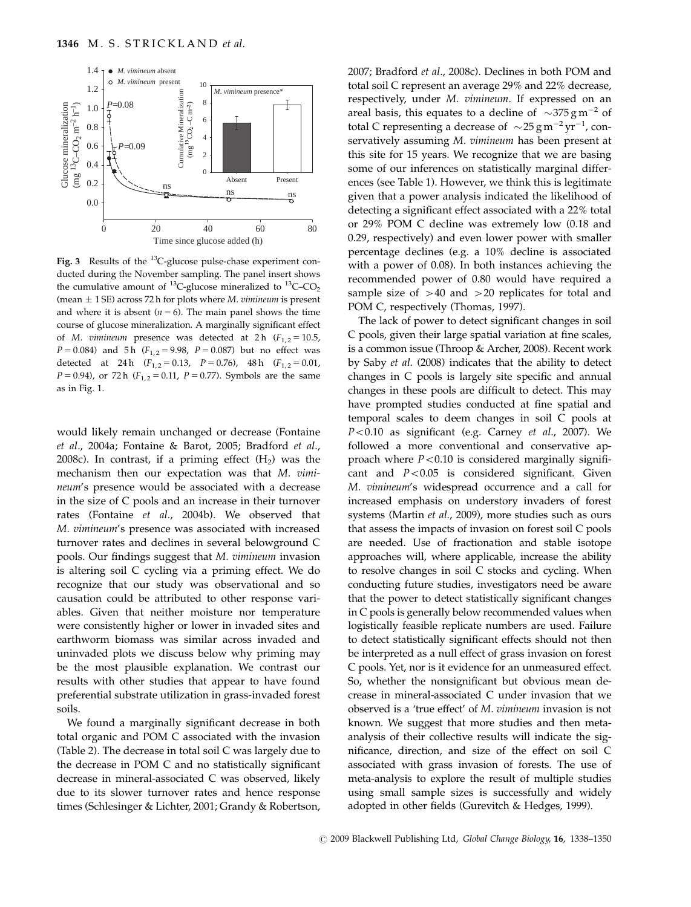

Fig. 3 Results of the 13C-glucose pulse-chase experiment conducted during the November sampling. The panel insert shows the cumulative amount of  $^{13}$ C-glucose mineralized to  $^{13}$ C-CO<sub>2</sub> (mean  $\pm$  1 SE) across 72 h for plots where *M. vimineum* is present and where it is absent ( $n = 6$ ). The main panel shows the time course of glucose mineralization. A marginally significant effect of M. vimineum presence was detected at 2 h  $(F_{1,2} = 10.5,$  $P = 0.084$ ) and 5 h ( $F_{1,2} = 9.98$ ,  $P = 0.087$ ) but no effect was detected at 24 h  $(F_{1,2} = 0.13, P = 0.76)$ , 48 h  $(F_{1,2} = 0.01,$  $P = 0.94$ ), or 72 h ( $F_{1,2} = 0.11$ ,  $P = 0.77$ ). Symbols are the same as in Fig. 1.

would likely remain unchanged or decrease (Fontaine et al., 2004a; Fontaine & Barot, 2005; Bradford et al., 2008c). In contrast, if a priming effect  $(H<sub>2</sub>)$  was the mechanism then our expectation was that M. vimineum's presence would be associated with a decrease in the size of C pools and an increase in their turnover rates (Fontaine et al., 2004b). We observed that M. vimineum's presence was associated with increased turnover rates and declines in several belowground C pools. Our findings suggest that M. vimineum invasion is altering soil C cycling via a priming effect. We do recognize that our study was observational and so causation could be attributed to other response variables. Given that neither moisture nor temperature were consistently higher or lower in invaded sites and earthworm biomass was similar across invaded and uninvaded plots we discuss below why priming may be the most plausible explanation. We contrast our results with other studies that appear to have found preferential substrate utilization in grass-invaded forest soils.

We found a marginally significant decrease in both total organic and POM C associated with the invasion (Table 2). The decrease in total soil C was largely due to the decrease in POM C and no statistically significant decrease in mineral-associated C was observed, likely due to its slower turnover rates and hence response times (Schlesinger & Lichter, 2001; Grandy & Robertson,

2007; Bradford et al., 2008c). Declines in both POM and total soil C represent an average 29% and 22% decrease, respectively, under M. vimineum. If expressed on an areal basis, this equates to a decline of  $\sim 375 \,\mathrm{g m^{-2}}$  of total C representing a decrease of  $\sim$ 25 g m<sup>-2</sup> yr<sup>-1</sup>, conservatively assuming M. vimineum has been present at this site for 15 years. We recognize that we are basing some of our inferences on statistically marginal differences (see Table 1). However, we think this is legitimate given that a power analysis indicated the likelihood of detecting a significant effect associated with a 22% total or 29% POM C decline was extremely low (0.18 and 0.29, respectively) and even lower power with smaller percentage declines (e.g. a 10% decline is associated with a power of 0.08). In both instances achieving the recommended power of 0.80 would have required a sample size of  $>40$  and  $>20$  replicates for total and POM C, respectively (Thomas, 1997).

The lack of power to detect significant changes in soil C pools, given their large spatial variation at fine scales, is a common issue (Throop & Archer, 2008). Recent work by Saby et al. (2008) indicates that the ability to detect changes in C pools is largely site specific and annual changes in these pools are difficult to detect. This may have prompted studies conducted at fine spatial and temporal scales to deem changes in soil C pools at  $P < 0.10$  as significant (e.g. Carney et al., 2007). We followed a more conventional and conservative approach where  $P < 0.10$  is considered marginally significant and  $P < 0.05$  is considered significant. Given M. vimineum's widespread occurrence and a call for increased emphasis on understory invaders of forest systems (Martin et al., 2009), more studies such as ours that assess the impacts of invasion on forest soil C pools are needed. Use of fractionation and stable isotope approaches will, where applicable, increase the ability to resolve changes in soil C stocks and cycling. When conducting future studies, investigators need be aware that the power to detect statistically significant changes in C pools is generally below recommended values when logistically feasible replicate numbers are used. Failure to detect statistically significant effects should not then be interpreted as a null effect of grass invasion on forest C pools. Yet, nor is it evidence for an unmeasured effect. So, whether the nonsignificant but obvious mean decrease in mineral-associated C under invasion that we observed is a 'true effect' of M. vimineum invasion is not known. We suggest that more studies and then metaanalysis of their collective results will indicate the significance, direction, and size of the effect on soil C associated with grass invasion of forests. The use of meta-analysis to explore the result of multiple studies using small sample sizes is successfully and widely adopted in other fields (Gurevitch & Hedges, 1999).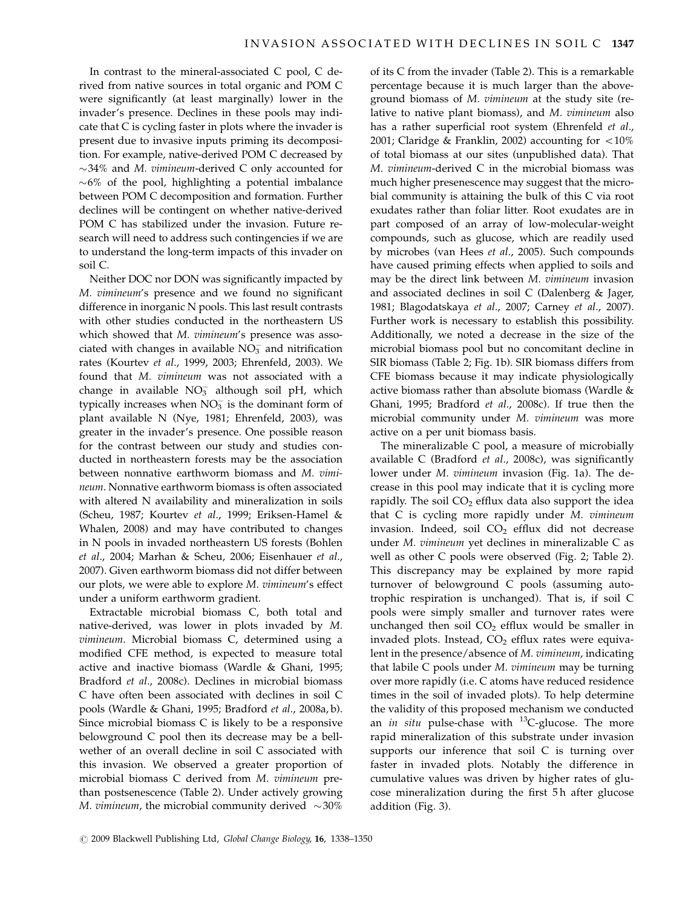In contrast to the mineral-associated C pool, C derived from native sources in total organic and POM C were significantly (at least marginally) lower in the invader's presence. Declines in these pools may indicate that C is cycling faster in plots where the invader is present due to invasive inputs priming its decomposition. For example, native-derived POM C decreased by  $\sim$ 34% and M. vimineum-derived C only accounted for  $\sim 6\%$  of the pool, highlighting a potential imbalance between POM C decomposition and formation. Further declines will be contingent on whether native-derived POM C has stabilized under the invasion. Future research will need to address such contingencies if we are to understand the long-term impacts of this invader on soil C.

Neither DOC nor DON was significantly impacted by M. vimineum's presence and we found no significant difference in inorganic N pools. This last result contrasts with other studies conducted in the northeastern US which showed that M. vimineum's presence was associated with changes in available  $NO_3^-$  and nitrification rates (Kourtev et al., 1999, 2003; Ehrenfeld, 2003). We found that M. vimineum was not associated with a change in available  $NO<sub>3</sub><sup>-</sup>$  although soil pH, which typically increases when  $NO<sub>3</sub><sup>-</sup>$  is the dominant form of plant available N (Nye, 1981; Ehrenfeld, 2003), was greater in the invader's presence. One possible reason for the contrast between our study and studies conducted in northeastern forests may be the association between nonnative earthworm biomass and M. vimineum. Nonnative earthworm biomass is often associated with altered N availability and mineralization in soils (Scheu, 1987; Kourtev et al., 1999; Eriksen-Hamel & Whalen, 2008) and may have contributed to changes in N pools in invaded northeastern US forests (Bohlen et al., 2004; Marhan & Scheu, 2006; Eisenhauer et al., 2007). Given earthworm biomass did not differ between our plots, we were able to explore M. vimineum's effect under a uniform earthworm gradient.

Extractable microbial biomass C, both total and native-derived, was lower in plots invaded by M. vimineum. Microbial biomass C, determined using a modified CFE method, is expected to measure total active and inactive biomass (Wardle & Ghani, 1995; Bradford et al., 2008c). Declines in microbial biomass C have often been associated with declines in soil C pools (Wardle & Ghani, 1995; Bradford et al., 2008a, b). Since microbial biomass C is likely to be a responsive belowground C pool then its decrease may be a bellwether of an overall decline in soil C associated with this invasion. We observed a greater proportion of microbial biomass C derived from M. vimineum prethan postsenescence (Table 2). Under actively growing *M. vimineum,* the microbial community derived  $\sim 30\%$ 

of its C from the invader (Table 2). This is a remarkable percentage because it is much larger than the aboveground biomass of M. vimineum at the study site (relative to native plant biomass), and M. vimineum also has a rather superficial root system (Ehrenfeld et al., 2001; Claridge & Franklin, 2002) accounting for  $<$ 10% of total biomass at our sites (unpublished data). That M. vimineum-derived C in the microbial biomass was much higher presenescence may suggest that the microbial community is attaining the bulk of this C via root exudates rather than foliar litter. Root exudates are in part composed of an array of low-molecular-weight compounds, such as glucose, which are readily used by microbes (van Hees et al., 2005). Such compounds have caused priming effects when applied to soils and may be the direct link between M. vimineum invasion and associated declines in soil C (Dalenberg & Jager, 1981; Blagodatskaya et al., 2007; Carney et al., 2007). Further work is necessary to establish this possibility. Additionally, we noted a decrease in the size of the microbial biomass pool but no concomitant decline in SIR biomass (Table 2; Fig. 1b). SIR biomass differs from CFE biomass because it may indicate physiologically active biomass rather than absolute biomass (Wardle & Ghani, 1995; Bradford et al., 2008c). If true then the microbial community under M. vimineum was more active on a per unit biomass basis.

The mineralizable C pool, a measure of microbially available C (Bradford et al., 2008c), was significantly lower under M. vimineum invasion (Fig. 1a). The decrease in this pool may indicate that it is cycling more rapidly. The soil  $CO<sub>2</sub>$  efflux data also support the idea that C is cycling more rapidly under M. vimineum invasion. Indeed, soil  $CO<sub>2</sub>$  efflux did not decrease under M. vimineum yet declines in mineralizable C as well as other C pools were observed (Fig. 2; Table 2). This discrepancy may be explained by more rapid turnover of belowground C pools (assuming autotrophic respiration is unchanged). That is, if soil C pools were simply smaller and turnover rates were unchanged then soil  $CO<sub>2</sub>$  efflux would be smaller in invaded plots. Instead,  $CO<sub>2</sub>$  efflux rates were equivalent in the presence/absence of M. vimineum, indicating that labile  $C$  pools under  $M$ . vimineum may be turning over more rapidly (i.e. C atoms have reduced residence times in the soil of invaded plots). To help determine the validity of this proposed mechanism we conducted an *in situ* pulse-chase with  $^{13}$ C-glucose. The more rapid mineralization of this substrate under invasion supports our inference that soil C is turning over faster in invaded plots. Notably the difference in cumulative values was driven by higher rates of glucose mineralization during the first 5 h after glucose addition (Fig. 3).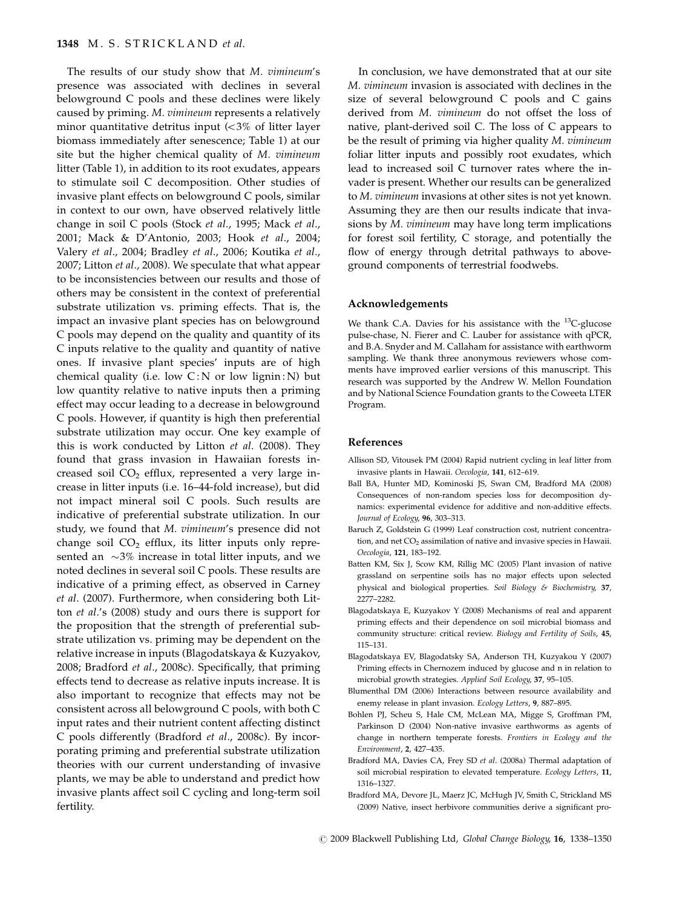The results of our study show that M. vimineum's presence was associated with declines in several belowground C pools and these declines were likely caused by priming. M. vimineum represents a relatively minor quantitative detritus input  $\langle$ <3% of litter layer biomass immediately after senescence; Table 1) at our site but the higher chemical quality of M. vimineum litter (Table 1), in addition to its root exudates, appears to stimulate soil C decomposition. Other studies of invasive plant effects on belowground C pools, similar in context to our own, have observed relatively little change in soil C pools (Stock et al., 1995; Mack et al., 2001; Mack & D'Antonio, 2003; Hook et al., 2004; Valery et al., 2004; Bradley et al., 2006; Koutika et al., 2007; Litton et al., 2008). We speculate that what appear to be inconsistencies between our results and those of others may be consistent in the context of preferential substrate utilization vs. priming effects. That is, the impact an invasive plant species has on belowground C pools may depend on the quality and quantity of its C inputs relative to the quality and quantity of native ones. If invasive plant species' inputs are of high chemical quality (i.e. low  $C: N$  or low lignin: N) but low quantity relative to native inputs then a priming effect may occur leading to a decrease in belowground C pools. However, if quantity is high then preferential substrate utilization may occur. One key example of this is work conducted by Litton et al. (2008). They found that grass invasion in Hawaiian forests increased soil  $CO<sub>2</sub>$  efflux, represented a very large increase in litter inputs (i.e. 16–44-fold increase), but did not impact mineral soil C pools. Such results are indicative of preferential substrate utilization. In our study, we found that M. vimineum's presence did not change soil  $CO<sub>2</sub>$  efflux, its litter inputs only represented an  $\sim$ 3% increase in total litter inputs, and we noted declines in several soil C pools. These results are indicative of a priming effect, as observed in Carney et al. (2007). Furthermore, when considering both Litton et al.'s (2008) study and ours there is support for the proposition that the strength of preferential substrate utilization vs. priming may be dependent on the relative increase in inputs (Blagodatskaya & Kuzyakov, 2008; Bradford et al., 2008c). Specifically, that priming effects tend to decrease as relative inputs increase. It is also important to recognize that effects may not be consistent across all belowground C pools, with both C input rates and their nutrient content affecting distinct C pools differently (Bradford et al., 2008c). By incorporating priming and preferential substrate utilization theories with our current understanding of invasive plants, we may be able to understand and predict how invasive plants affect soil C cycling and long-term soil fertility.

In conclusion, we have demonstrated that at our site M. vimineum invasion is associated with declines in the size of several belowground C pools and C gains derived from M. vimineum do not offset the loss of native, plant-derived soil C. The loss of C appears to be the result of priming via higher quality M. vimineum foliar litter inputs and possibly root exudates, which lead to increased soil C turnover rates where the invader is present. Whether our results can be generalized to M. vimineum invasions at other sites is not yet known. Assuming they are then our results indicate that invasions by M. vimineum may have long term implications for forest soil fertility, C storage, and potentially the flow of energy through detrital pathways to aboveground components of terrestrial foodwebs.

### Acknowledgements

We thank C.A. Davies for his assistance with the  $^{13}$ C-glucose pulse-chase, N. Fierer and C. Lauber for assistance with qPCR, and B.A. Snyder and M. Callaham for assistance with earthworm sampling. We thank three anonymous reviewers whose comments have improved earlier versions of this manuscript. This research was supported by the Andrew W. Mellon Foundation and by National Science Foundation grants to the Coweeta LTER Program.

# References

- Allison SD, Vitousek PM (2004) Rapid nutrient cycling in leaf litter from invasive plants in Hawaii. Oecologia, 141, 612–619.
- Ball BA, Hunter MD, Kominoski JS, Swan CM, Bradford MA (2008) Consequences of non-random species loss for decomposition dynamics: experimental evidence for additive and non-additive effects. Journal of Ecology, 96, 303–313.
- Baruch Z, Goldstein G (1999) Leaf construction cost, nutrient concentration, and net CO<sub>2</sub> assimilation of native and invasive species in Hawaii. Oecologia, 121, 183–192.
- Batten KM, Six J, Scow KM, Rillig MC (2005) Plant invasion of native grassland on serpentine soils has no major effects upon selected physical and biological properties. Soil Biology & Biochemistry, 37, 2277–2282.
- Blagodatskaya E, Kuzyakov Y (2008) Mechanisms of real and apparent priming effects and their dependence on soil microbial biomass and community structure: critical review. Biology and Fertility of Soils, 45, 115–131.
- Blagodatskaya EV, Blagodatsky SA, Anderson TH, Kuzyakou Y (2007) Priming effects in Chernozem induced by glucose and n in relation to microbial growth strategies. Applied Soil Ecology, 37, 95–105.
- Blumenthal DM (2006) Interactions between resource availability and enemy release in plant invasion. Ecology Letters, 9, 887–895.
- Bohlen PJ, Scheu S, Hale CM, McLean MA, Migge S, Groffman PM, Parkinson D (2004) Non-native invasive earthworms as agents of change in northern temperate forests. Frontiers in Ecology and the Environment, 2, 427–435.
- Bradford MA, Davies CA, Frey SD et al. (2008a) Thermal adaptation of soil microbial respiration to elevated temperature. Ecology Letters, 11, 1316–1327.
- Bradford MA, Devore JL, Maerz JC, McHugh JV, Smith C, Strickland MS (2009) Native, insect herbivore communities derive a significant pro-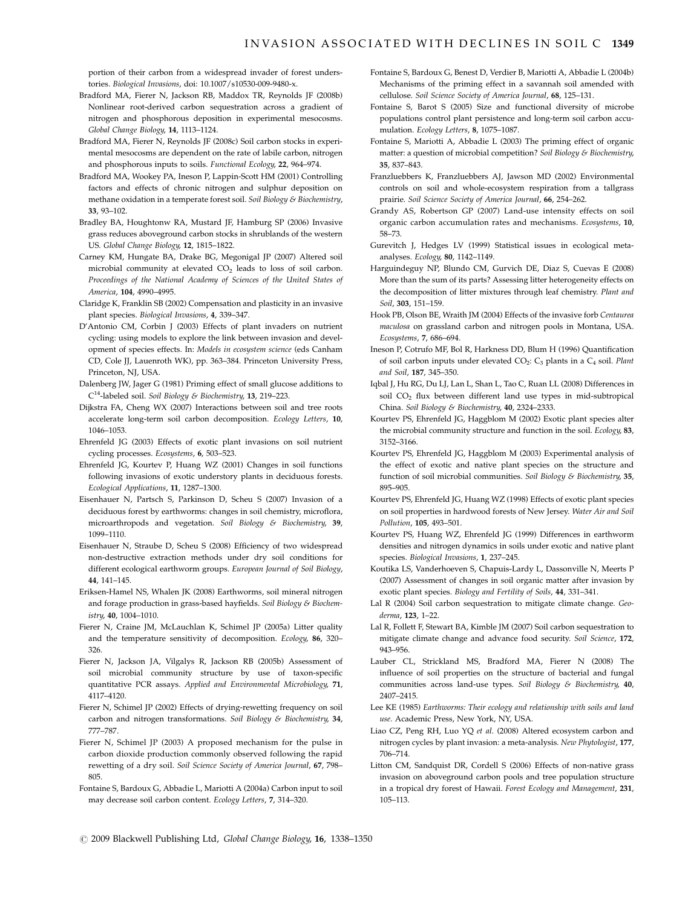portion of their carbon from a widespread invader of forest understories. Biological Invasions, doi: [10.1007/s10530-009-9480-x.](10.1007/s10530-009-9480-x)

- Bradford MA, Fierer N, Jackson RB, Maddox TR, Reynolds JF (2008b) Nonlinear root-derived carbon sequestration across a gradient of nitrogen and phosphorous deposition in experimental mesocosms. Global Change Biology, 14, 1113–1124.
- Bradford MA, Fierer N, Reynolds JF (2008c) Soil carbon stocks in experimental mesocosms are dependent on the rate of labile carbon, nitrogen and phosphorous inputs to soils. Functional Ecology, 22, 964–974.
- Bradford MA, Wookey PA, Ineson P, Lappin-Scott HM (2001) Controlling factors and effects of chronic nitrogen and sulphur deposition on methane oxidation in a temperate forest soil. Soil Biology & Biochemistry, 33, 93–102.
- Bradley BA, Houghtonw RA, Mustard JF, Hamburg SP (2006) Invasive grass reduces aboveground carbon stocks in shrublands of the western US. Global Change Biology, 12, 1815–1822.
- Carney KM, Hungate BA, Drake BG, Megonigal JP (2007) Altered soil microbial community at elevated CO<sub>2</sub> leads to loss of soil carbon. Proceedings of the National Academy of Sciences of the United States of America, 104, 4990–4995.
- Claridge K, Franklin SB (2002) Compensation and plasticity in an invasive plant species. Biological Invasions, 4, 339–347.
- D'Antonio CM, Corbin J (2003) Effects of plant invaders on nutrient cycling: using models to explore the link between invasion and development of species effects. In: Models in ecosystem science (eds Canham CD, Cole JJ, Lauenroth WK), pp. 363–384. Princeton University Press, Princeton, NJ, USA.
- Dalenberg JW, Jager G (1981) Priming effect of small glucose additions to C14-labeled soil. Soil Biology & Biochemistry, 13, 219–223.
- Dijkstra FA, Cheng WX (2007) Interactions between soil and tree roots accelerate long-term soil carbon decomposition. Ecology Letters, 10, 1046–1053.
- Ehrenfeld JG (2003) Effects of exotic plant invasions on soil nutrient cycling processes. Ecosystems, 6, 503–523.
- Ehrenfeld JG, Kourtev P, Huang WZ (2001) Changes in soil functions following invasions of exotic understory plants in deciduous forests. Ecological Applications, 11, 1287–1300.
- Eisenhauer N, Partsch S, Parkinson D, Scheu S (2007) Invasion of a deciduous forest by earthworms: changes in soil chemistry, microflora, microarthropods and vegetation. Soil Biology & Biochemistry, 39, 1099–1110.
- Eisenhauer N, Straube D, Scheu S (2008) Efficiency of two widespread non-destructive extraction methods under dry soil conditions for different ecological earthworm groups. European Journal of Soil Biology, 44, 141–145.
- Eriksen-Hamel NS, Whalen JK (2008) Earthworms, soil mineral nitrogen and forage production in grass-based hayfields. Soil Biology & Biochemistry, 40, 1004–1010.
- Fierer N, Craine JM, McLauchlan K, Schimel JP (2005a) Litter quality and the temperature sensitivity of decomposition. Ecology, 86, 320– 326.
- Fierer N, Jackson JA, Vilgalys R, Jackson RB (2005b) Assessment of soil microbial community structure by use of taxon-specific quantitative PCR assays. Applied and Environmental Microbiology, 71, 4117–4120.
- Fierer N, Schimel JP (2002) Effects of drying-rewetting frequency on soil carbon and nitrogen transformations. Soil Biology & Biochemistry, 34, 777–787.
- Fierer N, Schimel JP (2003) A proposed mechanism for the pulse in carbon dioxide production commonly observed following the rapid rewetting of a dry soil. Soil Science Society of America Journal, 67, 798– 805.
- Fontaine S, Bardoux G, Abbadie L, Mariotti A (2004a) Carbon input to soil may decrease soil carbon content. Ecology Letters, 7, 314–320.
- Fontaine S, Bardoux G, Benest D, Verdier B, Mariotti A, Abbadie L (2004b) Mechanisms of the priming effect in a savannah soil amended with cellulose. Soil Science Society of America Journal, 68, 125–131.
- Fontaine S, Barot S (2005) Size and functional diversity of microbe populations control plant persistence and long-term soil carbon accumulation. Ecology Letters, 8, 1075–1087.
- Fontaine S, Mariotti A, Abbadie L (2003) The priming effect of organic matter: a question of microbial competition? Soil Biology & Biochemistry, 35, 837–843.
- Franzluebbers K, Franzluebbers AJ, Jawson MD (2002) Environmental controls on soil and whole-ecosystem respiration from a tallgrass prairie. Soil Science Society of America Journal, 66, 254–262.
- Grandy AS, Robertson GP (2007) Land-use intensity effects on soil organic carbon accumulation rates and mechanisms. Ecosystems, 10, 58–73.
- Gurevitch J, Hedges LV (1999) Statistical issues in ecological metaanalyses. Ecology, 80, 1142–1149.
- Harguindeguy NP, Blundo CM, Gurvich DE, Diaz S, Cuevas E (2008) More than the sum of its parts? Assessing litter heterogeneity effects on the decomposition of litter mixtures through leaf chemistry. Plant and Soil, 303, 151–159.
- Hook PB, Olson BE, Wraith JM (2004) Effects of the invasive forb Centaurea maculosa on grassland carbon and nitrogen pools in Montana, USA. Ecosystems, 7, 686–694.
- Ineson P, Cotrufo MF, Bol R, Harkness DD, Blum H (1996) Quantification of soil carbon inputs under elevated  $CO_2$ :  $C_3$  plants in a  $C_4$  soil. Plant and Soil, 187, 345–350.
- Iqbal J, Hu RG, Du LJ, Lan L, Shan L, Tao C, Ruan LL (2008) Differences in soil CO2 flux between different land use types in mid-subtropical China. Soil Biology & Biochemistry, 40, 2324–2333.
- Kourtev PS, Ehrenfeld JG, Haggblom M (2002) Exotic plant species alter the microbial community structure and function in the soil. Ecology, 83, 3152–3166.
- Kourtev PS, Ehrenfeld JG, Haggblom M (2003) Experimental analysis of the effect of exotic and native plant species on the structure and function of soil microbial communities. Soil Biology & Biochemistry, 35, 895–905.
- Kourtev PS, Ehrenfeld JG, Huang WZ (1998) Effects of exotic plant species on soil properties in hardwood forests of New Jersey. Water Air and Soil Pollution, 105, 493–501.
- Kourtev PS, Huang WZ, Ehrenfeld JG (1999) Differences in earthworm densities and nitrogen dynamics in soils under exotic and native plant species. Biological Invasions, 1, 237–245.
- Koutika LS, Vanderhoeven S, Chapuis-Lardy L, Dassonville N, Meerts P (2007) Assessment of changes in soil organic matter after invasion by exotic plant species. Biology and Fertility of Soils, 44, 331–341.
- Lal R (2004) Soil carbon sequestration to mitigate climate change. Geoderma, 123, 1–22.
- Lal R, Follett F, Stewart BA, Kimble JM (2007) Soil carbon sequestration to mitigate climate change and advance food security. Soil Science, 172, 943–956.
- Lauber CL, Strickland MS, Bradford MA, Fierer N (2008) The influence of soil properties on the structure of bacterial and fungal communities across land-use types. Soil Biology & Biochemistry, 40, 2407–2415.
- Lee KE (1985) Earthworms: Their ecology and relationship with soils and land use. Academic Press, New York, NY, USA.
- Liao CZ, Peng RH, Luo YQ et al. (2008) Altered ecosystem carbon and nitrogen cycles by plant invasion: a meta-analysis. New Phytologist, 177, 706–714.
- Litton CM, Sandquist DR, Cordell S (2006) Effects of non-native grass invasion on aboveground carbon pools and tree population structure in a tropical dry forest of Hawaii. Forest Ecology and Management, 231, 105–113.
- © 2009 Blackwell Publishing Ltd, Global Change Biology, 16, 1338-1350